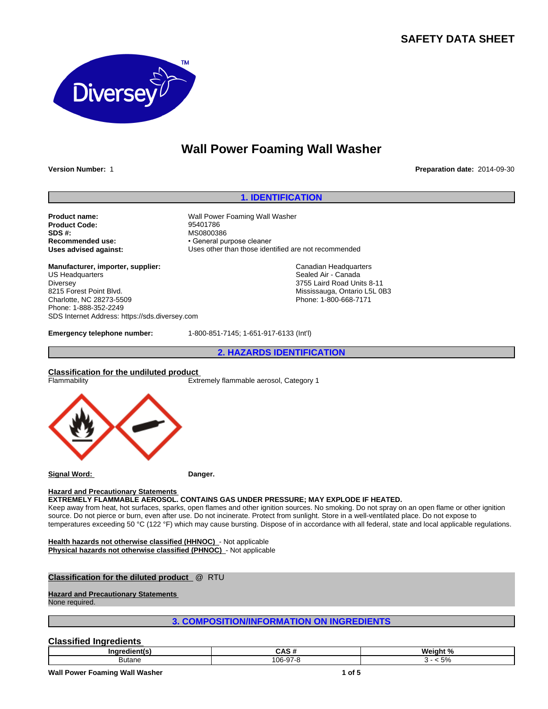## **SAFETY DATA SHEET**



# **Wall Power Foaming Wall Washer**

**Version Number:** 1 **Preparation date:** 2014-09-30

#### **1. IDENTIFICATION**

**Product name:** Wall Power Foaming Wall Washer<br> **Product Code:** 35401786 **Product Code: SDS #:** MS0800386<br> **Recommended use:** MS0800386<br> **Recommended use:** And the Seneral pu

**Manufacturer, importer, supplier:** US Headquarters Diversey 8215 Forest Point Blvd. Charlotte, NC 28273-5509 Phone: 1-888-352-2249 SDS Internet Address: https://sds.diversey.com

**Recommended use:** • General purpose cleaner<br> **Uses advised against:** Uses other than those ider Uses other than those identified are not recommended

> Canadian Headquarters Sealed Air - Canada 3755 Laird Road Units 8-11 Mississauga, Ontario L5L 0B3 Phone: 1-800-668-7171

**Emergency telephone number:** 1-800-851-7145; 1-651-917-6133 (Int'l)

**2. HAZARDS IDENTIFICATION**

#### **Classification for the undiluted product**

Flammability Extremely flammable aerosol, Category 1



**Signal Word: Danger.**

#### **Hazard and Precautionary Statements**

**EXTREMELY FLAMMABLE AEROSOL. CONTAINS GAS UNDER PRESSURE; MAY EXPLODE IF HEATED.**

Keep away from heat, hot surfaces, sparks, open flames and other ignition sources. No smoking. Do not spray on an open flame or other ignition source. Do not pierce or burn, even after use. Do not incinerate. Protect from sunlight. Store in a well-ventilated place. Do not expose to temperatures exceeding 50 °C (122 °F) which may cause bursting. Dispose of in accordance with all federal, state and local applicable regulations.

**Health hazards not otherwise classified (HHNOC)** - Not applicable **Physical hazards not otherwise classified (PHNOC)** - Not applicable

#### **Classification for the diluted product** @ RTU

**Hazard and Precautionary Statements** 

None required.

## **3. COMPOSITION/INFORMATION ON INGREDIENTS**

## **Classified Ingredients**

| Inared<br>lient(s | .                                  | Weight,<br>- 70         |
|-------------------|------------------------------------|-------------------------|
| <b>Butane</b>     | $\sim$<br>$\sim$<br>் 16-97<br>טעי | $F^{\alpha}$<br>. J / 0 |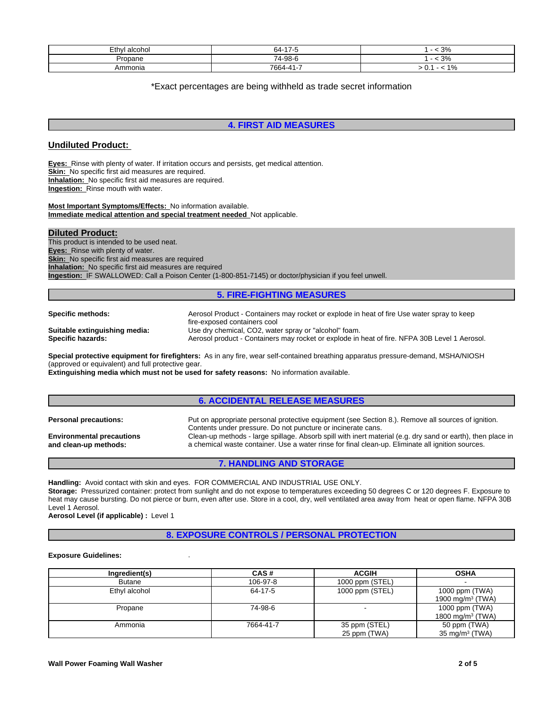| $-$<br>⊏∔h.<br>n<br>''ا ایا —<br>aiuuiui | $\rightarrow$ $\rightarrow$ $\rightarrow$<br>64- | $\sim$<br>.J 70 |
|------------------------------------------|--------------------------------------------------|-----------------|
| Propane                                  | 74-98-6                                          | $\sim$ $\sim$   |
| Ammonia                                  | --<br>7664                                       | 40/<br>70<br>v. |

\*Exact percentages are being withheld as trade secret information

## **4. FIRST AID MEASURES**

## **Undiluted Product:**

**Eyes:** Rinse with plenty of water. If irritation occurs and persists, get medical attention. **Skin:** No specific first aid measures are required. **Inhalation:** No specific first aid measures are required. **Ingestion:** Rinse mouth with water.

**Most Important Symptoms/Effects:** No information available. **Immediate medical attention and special treatment needed** Not applicable.

**Diluted Product:** This product is intended to be used neat. **Eyes:** Rinse with plenty of water. **Skin:** No specific first aid measures are required **Inhalation:** No specific first aid measures are required **Ingestion:** IF SWALLOWED: Call a Poison Center (1-800-851-7145) or doctor/physician if you feel unwell.

#### **5. FIRE-FIGHTING MEASURES**

| Specific methods:             | Aerosol Product - Containers may rocket or explode in heat of fire Use water spray to keep<br>fire-exposed containers cool |
|-------------------------------|----------------------------------------------------------------------------------------------------------------------------|
| Suitable extinguishing media: | Use dry chemical, CO2, water spray or "alcohol" foam.                                                                      |
| Specific hazards:             | Aerosol product - Containers may rocket or explode in heat of fire. NFPA 30B Level 1 Aerosol.                              |

**Special protective equipment for firefighters:** As in any fire, wear self-contained breathing apparatus pressure-demand, MSHA/NIOSH (approved or equivalent) and full protective gear.

**Extinguishing media which must not be used for safety reasons:** No information available.

## **6. ACCIDENTAL RELEASE MEASURES**

| <b>Personal precautions:</b>     | Put on appropriate personal protective equipment (see Section 8.). Remove all sources of ignition.          |
|----------------------------------|-------------------------------------------------------------------------------------------------------------|
|                                  | Contents under pressure. Do not puncture or incinerate cans.                                                |
| <b>Environmental precautions</b> | Clean-up methods - large spillage. Absorb spill with inert material (e.g. dry sand or earth), then place in |
| and clean-up methods:            | a chemical waste container. Use a water rinse for final clean-up. Eliminate all ignition sources.           |

## **7. HANDLING AND STORAGE**

**Handling:** Avoid contact with skin and eyes. FOR COMMERCIAL AND INDUSTRIAL USE ONLY. **Storage:** Pressurized container: protect from sunlight and do not expose to temperatures exceeding 50 degrees C or 120 degrees F. Exposure to heat may cause bursting. Do not pierce or burn, even after use. Store in a cool, dry, well ventilated area away from heat or open flame. NFPA 30B Level 1 Aerosol.

**Aerosol Level (if applicable) :** Level 1

**8. EXPOSURE CONTROLS / PERSONAL PROTECTION**

#### **Exposure Guidelines:** .

| Ingredient(s) | CAS#      | <b>ACGIH</b>                  | <b>OSHA</b>                                    |
|---------------|-----------|-------------------------------|------------------------------------------------|
| <b>Butane</b> | 106-97-8  | 1000 ppm (STEL)               |                                                |
| Ethyl alcohol | 64-17-5   | 1000 ppm (STEL)               | 1000 ppm (TWA)<br>1900 mg/m $3$ (TWA)          |
| Propane       | 74-98-6   |                               | 1000 ppm (TWA)<br>1800 mg/m <sup>3</sup> (TWA) |
| Ammonia       | 7664-41-7 | 35 ppm (STEL)<br>25 ppm (TWA) | 50 ppm (TWA)<br>$35 \text{ mg/m}^3$ (TWA)      |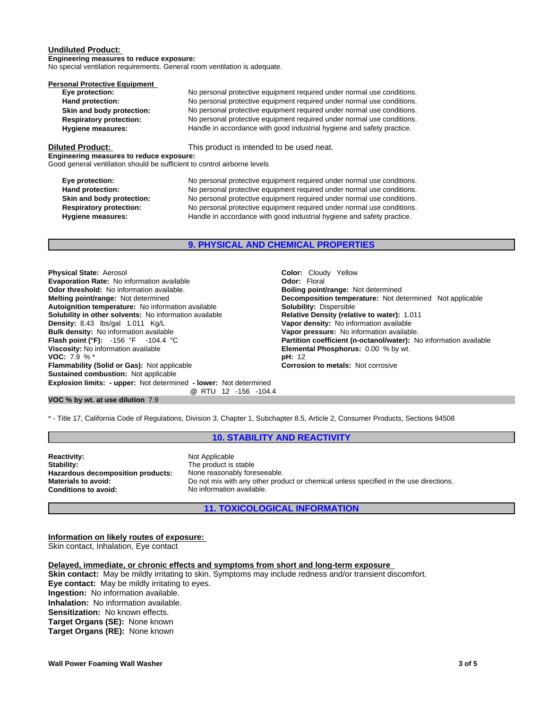#### **Undiluted Product:**

**Engineering measures to reduce exposure:** No special ventilation requirements. General room ventilation is adequate.

| Personal Protective Equipment  |                                                                        |
|--------------------------------|------------------------------------------------------------------------|
| Eye protection:                | No personal protective equipment required under normal use conditions. |
| Hand protection:               | No personal protective equipment required under normal use conditions. |
| Skin and body protection:      | No personal protective equipment required under normal use conditions. |
| <b>Respiratory protection:</b> | No personal protective equipment required under normal use conditions. |
| <b>Hygiene measures:</b>       | Handle in accordance with good industrial hygiene and safety practice. |
| Diluted Product:               | This product is intended to be used neat.                              |

**Engineering measures to reduce exposure:**

Good general ventilation should be sufficient to control airborne levels

| Eye protection:                | No personal protective equipment required under normal use conditions. |
|--------------------------------|------------------------------------------------------------------------|
| Hand protection:               | No personal protective equipment required under normal use conditions. |
| Skin and body protection:      | No personal protective equipment required under normal use conditions. |
| <b>Respiratory protection:</b> | No personal protective equipment required under normal use conditions. |
| Hygiene measures:              | Handle in accordance with good industrial hygiene and safety practice. |

**9. PHYSICAL AND CHEMICAL PROPERTIES**

**Explosion limits: - upper:** Not determined **- lower:** Not determined **@** RTU 12 -156 -104.4 **Physical State:** Aerosol **Color: Cloudy Yellow**<br> **Color:** Cloudy Yellow<br> **Color:** Floral **Color:** Cloudy Yellow **Evaporation Rate:** No information available **Connection Codor: Odor:** Floral **Connection Codor: Odor: Odor: Propertion Odor: Odor: Propertion Codor Connection Codor Connection Codor Connection Odor threshold: No information available.**<br>**Melting point/range: Not determined Autoignition temperature:** No information available **Solubility:** Dispersible **Solubility in other solvents:** No information available **Density:** 8.43 lbs/gal 1.011 Kg/L **Bulk density:** No information available<br>**Flash point (°F):** -156 °F -104.4 ° **Flash point (°F):** -156 °F -104.4 °C **Partition coefficient (n-octanol/water):** No information available **Viscosity:** No information available **Viscosity:** No information available **Viscosity:** No information available **VOC:** 7.9 % \* **pH:** 12 **Flammability (Solid or Gas):** Not applicable **Corrosion to metals:** Not corrosive **Sustained combustion:** Not applicable

**Decomposition temperature:** Not determined Not applicable **Vapor density:** No information available<br>**Vapor pressure:** No information available. **Elemental Phosphorus:** 0.00 % by wt.

**VOC % by wt. at use dilution** 7.9

\* - Title 17, California Code of Regulations, Division 3, Chapter 1, Subchapter 8.5, Article 2, Consumer Products, Sections 94508

#### **10. STABILITY AND REACTIVITY**

**Reactivity:** Not Applicable<br> **Stability:** The product is **Hazardous decomposition products:**<br>Materials to avoid:

The product is stable<br>None reasonably foreseeable. **Materials to avoid:** Do not mix with any other product or chemical unless specified in the use directions.<br> **Conditions to avoid:** No information available. **Conditions to avoid:** No information available.

**11. TOXICOLOGICAL INFORMATION**

**Information on likely routes of exposure:** Skin contact, Inhalation, Eye contact

#### **Delayed, immediate, or chronic effects and symptoms from short and long-term exposure**

**Skin contact:** May be mildly irritating to skin. Symptoms may include redness and/or transient discomfort. **Eye contact:** May be mildly irritating to eyes. **Ingestion:** No information available. **Inhalation:** No information available. **Sensitization:** No known effects. **Target Organs (SE):** None known **Target Organs (RE):** None known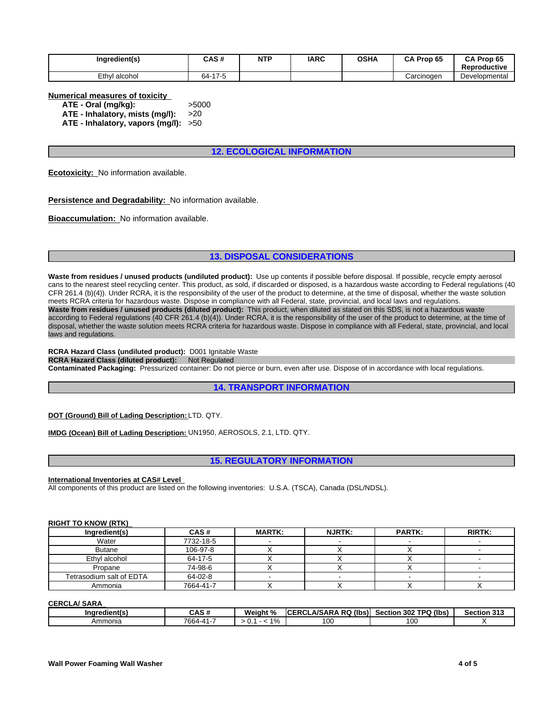| Ingredient(s) | CAS#                                | <b>NTP</b> | <b>IARC</b> | <b>OSHA</b> | Prop 65<br>СA | CA Prop 65<br>Reproductive |
|---------------|-------------------------------------|------------|-------------|-------------|---------------|----------------------------|
| Ethyl alcohol | 47E<br>64-<br>. <del>.</del><br>۰., |            |             |             | Carcinogen    | Developmental              |

**Numerical measures of toxicity**

**ATE - Oral (mg/kg):** >5000 **ATE - Inhalatory, mists (mg/l):** >20

**ATE - Inhalatory, vapors (mg/l):** >50

## **12. ECOLOGICAL INFORMATION**

**Ecotoxicity:** No information available.

**Persistence and Degradability:** No information available.

**Bioaccumulation:** No information available.

## **13. DISPOSAL CONSIDERATIONS**

**Waste from residues / unused products (undiluted product):** Use up contents if possible before disposal. If possible, recycle empty aerosol cans to the nearest steel recycling center. This product, as sold, if discarded or disposed, is a hazardous waste according to Federal regulations (40 CFR 261.4 (b)(4)). Under RCRA, it is the responsibility of the user of the product to determine, at the time of disposal, whether the waste solution meets RCRA criteria for hazardous waste. Dispose in compliance with all Federal, state, provincial, and local laws and regulations. **Waste from residues / unused products (diluted product):** This product, when diluted as stated on this SDS, is not a hazardous waste according to Federal regulations (40 CFR 261.4 (b)(4)). Under RCRA, it is the responsibility of the user of the product to determine, at the time of disposal, whether the waste solution meets RCRA criteria for hazardous waste. Dispose in compliance with all Federal, state, provincial, and local laws and regulations.

**RCRA Hazard Class (undiluted product):** D001 Ignitable Waste **RCRA Hazard Class (diluted product): Not Regulated Contaminated Packaging:** Pressurized container: Do not pierce or burn, even after use. Dispose of in accordance with local regulations.

**14. TRANSPORT INFORMATION**

**DOT (Ground) Bill of Lading Description:** LTD. QTY.

**IMDG (Ocean) Bill of Lading Description:** UN1950, AEROSOLS, 2.1, LTD. QTY.

**15. REGULATORY INFORMATION**

**International Inventories at CAS# Level** 

All components of this product are listed on the following inventories: U.S.A. (TSCA), Canada (DSL/NDSL).

#### **RIGHT TO KNOW (RTK)**

| Ingredient(s)            | CAS#      | <b>MARTK:</b> | <b>NJRTK:</b> | <b>PARTK:</b> | <b>RIRTK:</b> |
|--------------------------|-----------|---------------|---------------|---------------|---------------|
| Water                    | 7732-18-5 |               |               |               |               |
| <b>Butane</b>            | 106-97-8  |               |               |               |               |
| Ethyl alcohol            | 64-17-5   |               |               |               |               |
| Propane                  | 74-98-6   |               |               |               |               |
| Tetrasodium salt of EDTA | 64-02-8   |               |               |               |               |
| Ammonia                  | 7664-41-7 |               |               |               |               |

**CERCLA/ SARA** 

| $-1$<br><b>redient(s)</b><br>Ina | $\sim$ . $\sim$<br>$\mathbf{r}$<br>- היה | Weiaht<br>-40°         | A ROI<br><b>A/SARA</b><br>- 000<br>(lbs)<br>ICI.<br><b>RUL</b> | ∖ (lbs<br>חסדי<br>302<br>Section<br>$\sim$ | <b>Section 313</b> |
|----------------------------------|------------------------------------------|------------------------|----------------------------------------------------------------|--------------------------------------------|--------------------|
| Ammonia                          | 700<br>74.4<br>w                         | $\overline{a}$<br>- 70 | טע                                                             | 00                                         |                    |